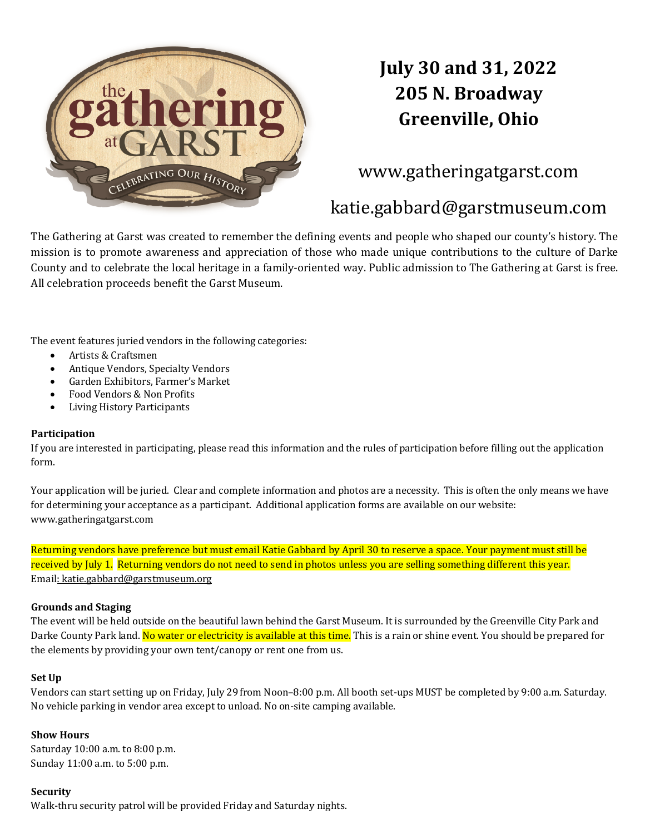

# **July 30 and 31, 2022 205 N. Broadway Greenville, Ohio**

## www.gatheringatgarst.com

## katie.gabbard@garstmuseum.com

The Gathering at Garst was created to remember the defining events and people who shaped our county's history. The mission is to promote awareness and appreciation of those who made unique contributions to the culture of Darke County and to celebrate the local heritage in a family-oriented way. Public admission to The Gathering at Garst is free. All celebration proceeds benefit the Garst Museum.

The event features juried vendors in the following categories:

- Artists & Craftsmen
- Antique Vendors, Specialty Vendors
- Garden Exhibitors, Farmer's Market
- Food Vendors & Non Profits
- Living History Participants

#### **Participation**

If you are interested in participating, please read this information and the rules of participation before filling out the application form. 

Your application will be juried. Clear and complete information and photos are a necessity. This is often the only means we have for determining your acceptance as a participant. Additional application forms are available on our website: www.gatheringatgarst.com

Returning vendors have preference but must email Katie Gabbard by April 30 to reserve a space. Your payment must still be received by July 1. Returning vendors do not need to send in photos unless you are selling something different this year. Email: katie.gabbard@garstmuseum.org

#### **Grounds and Staging**

The event will be held outside on the beautiful lawn behind the Garst Museum. It is surrounded by the Greenville City Park and Darke County Park land. No water or electricity is available at this time. This is a rain or shine event. You should be prepared for the elements by providing your own tent/canopy or rent one from us.

#### **Set Up**

Vendors can start setting up on Friday, July 29 from Noon–8:00 p.m. All booth set-ups MUST be completed by 9:00 a.m. Saturday. No vehicle parking in vendor area except to unload. No on-site camping available.

#### **Show Hours**

Saturday  $10:00$  a.m. to  $8:00$  p.m. Sunday 11:00 a.m. to 5:00 p.m.

#### **Security**

Walk-thru security patrol will be provided Friday and Saturday nights.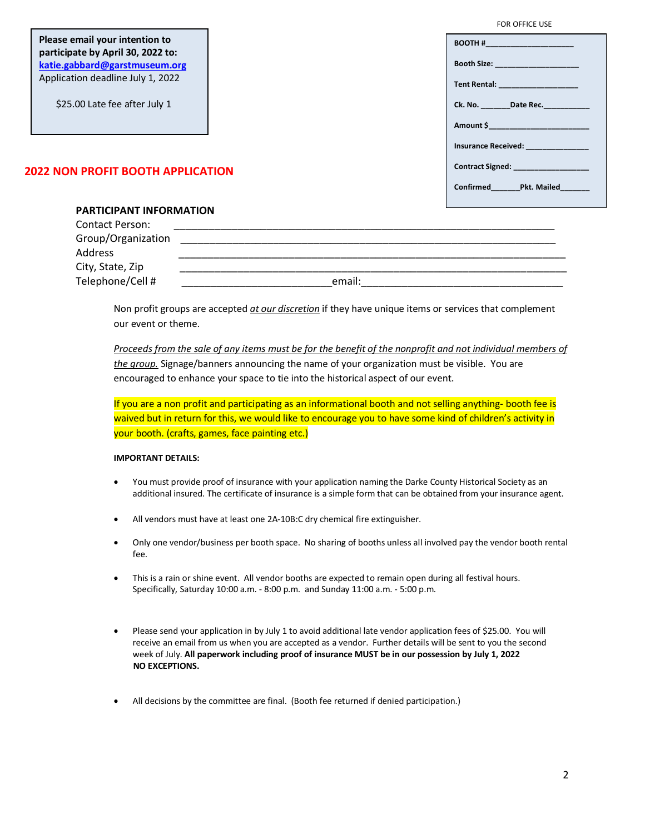| Please email your intention to<br>participate by April 30, 2022 to: | <b>BOOTH # Example 2008</b>                                                                                                                                                                                                     |
|---------------------------------------------------------------------|---------------------------------------------------------------------------------------------------------------------------------------------------------------------------------------------------------------------------------|
| katie.gabbard@garstmuseum.org                                       | <b>Booth Size: Example 2018</b>                                                                                                                                                                                                 |
| Application deadline July 1, 2022                                   | Tent Rental: _____________________                                                                                                                                                                                              |
| \$25.00 Late fee after July 1                                       | Ck. No. Date Rec.                                                                                                                                                                                                               |
|                                                                     | Amount \$ Production in the second service of the service of the service of the series of the series of the series of the series of the series of the series of the series of the series of the series of the series of the ser |
|                                                                     | <b>Insurance Received: Contract Structure 100</b>                                                                                                                                                                               |
| 2022 NON PROFIT BOOTH APPLICATION                                   | <b>Contract Signed: Contract Signed:</b>                                                                                                                                                                                        |
|                                                                     | Confirmed Pkt. Mailed                                                                                                                                                                                                           |
|                                                                     |                                                                                                                                                                                                                                 |

### **PARTICIPANT INFORMATION**

| Contact Person:    |        |
|--------------------|--------|
| Group/Organization |        |
| Address            |        |
| City, State, Zip   |        |
| Telephone/Cell #   | email: |

Non profit groups are accepted *at our discretion* if they have unique items or services that complement our event or theme.

*Proceeds from the sale of any items must be for the benefit of the nonprofit and not individual members of the group.* Signage/banners announcing the name of your organization must be visible. You are encouraged to enhance your space to tie into the historical aspect of our event.

If you are a non profit and participating as an informational booth and not selling anything- booth fee is waived but in return for this, we would like to encourage you to have some kind of children's activity in your booth. (crafts, games, face painting etc.)

#### **IMPORTANT DETAILS:**

- You must provide proof of insurance with your application naming the Darke County Historical Society as an additional insured. The certificate of insurance is a simple form that can be obtained from your insurance agent.
- All vendors must have at least one 2A-10B:C dry chemical fire extinguisher.
- Only one vendor/business per booth space. No sharing of booths unless all involved pay the vendor booth rental fee.
- This is a rain or shine event. All vendor booths are expected to remain open during all festival hours. Specifically, Saturday 10:00 a.m. - 8:00 p.m. and Sunday 11:00 a.m. - 5:00 p.m.
- Please send your application in by July 1 to avoid additional late vendor application fees of \$25.00. You will receive an email from us when you are accepted as a vendor. Further details will be sent to you the second week of July. **All paperwork including proof of insurance MUST be in our possession by July 1, 2022 NO EXCEPTIONS.**
- All decisions by the committee are final. (Booth fee returned if denied participation.)

FOR OFFICE USE